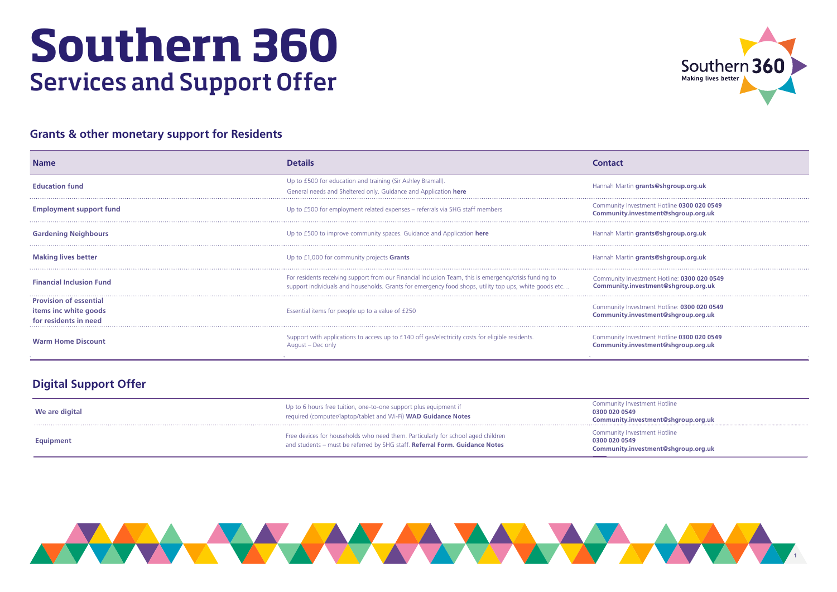



# **Southern 360** Services and Support Offer

| <b>Name</b>                                                                     | <b>Details</b>                                                                                                                                                                                                  | <b>Contact</b>                                                                     |
|---------------------------------------------------------------------------------|-----------------------------------------------------------------------------------------------------------------------------------------------------------------------------------------------------------------|------------------------------------------------------------------------------------|
| <b>Education fund</b>                                                           | Up to £500 for education and training (Sir Ashley Bramall).<br>General needs and Sheltered only. Guidance and Application here                                                                                  | Hannah Martin grants@shgroup.org.uk                                                |
| <b>Employment support fund</b>                                                  | Up to £500 for employment related expenses - referrals via SHG staff members                                                                                                                                    | Community Investment Hotline 0300 020 0549<br>Community.investment@shgroup.org.uk  |
| <b>Gardening Neighbours</b>                                                     | Up to £500 to improve community spaces. Guidance and Application here                                                                                                                                           | Hannah Martin grants@shgroup.org.uk                                                |
| <b>Making lives better</b>                                                      | Up to £1,000 for community projects <b>Grants</b>                                                                                                                                                               | Hannah Martin grants@shgroup.org.uk                                                |
| <b>Financial Inclusion Fund</b>                                                 | For residents receiving support from our Financial Inclusion Team, this is emergency/crisis funding to<br>support individuals and households. Grants for emergency food shops, utility top ups, white goods etc | Community Investment Hotline: 0300 020 0549<br>Community.investment@shgroup.org.uk |
| <b>Provision of essential</b><br>items inc white goods<br>for residents in need | Essential items for people up to a value of £250                                                                                                                                                                | Community Investment Hotline: 0300 020 0549<br>Community.investment@shgroup.org.uk |
| <b>Warm Home Discount</b>                                                       | Support with applications to access up to £140 off gas/electricity costs for eligible residents.<br>August - Dec only                                                                                           | Community Investment Hotline 0300 020 0549<br>Community.investment@shgroup.org.uk  |

| Hannah Martin grants@shgroup.org.uk                                                |
|------------------------------------------------------------------------------------|
| Community Investment Hotline 0300 020 0549<br>Community.investment@shgroup.org.uk  |
| Hannah Martin grants@shgroup.org.uk                                                |
| Hannah Martin grants@shgroup.org.uk                                                |
| Community Investment Hotline: 0300 020 0549<br>Community.investment@shgroup.org.uk |
| Community Investment Hotline: 0300 020 0549<br>Community.investment@shgroup.org.uk |
| Community Investment Hotline 0300 020 0549<br>Community.investment@shgroup.org.uk  |

## **Grants & other monetary support for Residents**

| We are digital   | Up to 6 hours free tuition, one-to-one support plus equipment if<br>required (computer/laptop/tablet and Wi-Fi) WAD Guidance Notes                              | Community Inve<br>0300 020 0549<br><b>Community.in</b> |
|------------------|-----------------------------------------------------------------------------------------------------------------------------------------------------------------|--------------------------------------------------------|
| <b>Equipment</b> | Free devices for households who need them. Particularly for school aged children<br>and students – must be referred by SHG staff. Referral Form. Guidance Notes | Community Inve<br>0300 020 0549<br><b>Community.in</b> |

| Community Investment Hotline<br>0300 020 0549 |
|-----------------------------------------------|
| Community.investment@shgroup.org.uk           |
|                                               |
| Community Investment Hotline                  |
| 0300 020 0549                                 |
| Community.investment@shgroup.org.uk           |

# **Digital Support Offer**